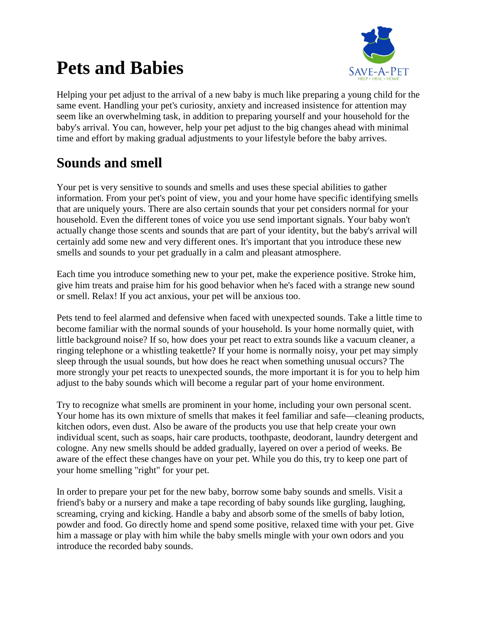# **Pets and Babies**



Helping your pet adjust to the arrival of a new baby is much like preparing a young child for the same event. Handling your pet's curiosity, anxiety and increased insistence for attention may seem like an overwhelming task, in addition to preparing yourself and your household for the baby's arrival. You can, however, help your pet adjust to the big changes ahead with minimal time and effort by making gradual adjustments to your lifestyle before the baby arrives.

## **Sounds and smell**

Your pet is very sensitive to sounds and smells and uses these special abilities to gather information. From your pet's point of view, you and your home have specific identifying smells that are uniquely yours. There are also certain sounds that your pet considers normal for your household. Even the different tones of voice you use send important signals. Your baby won't actually change those scents and sounds that are part of your identity, but the baby's arrival will certainly add some new and very different ones. It's important that you introduce these new smells and sounds to your pet gradually in a calm and pleasant atmosphere.

Each time you introduce something new to your pet, make the experience positive. Stroke him, give him treats and praise him for his good behavior when he's faced with a strange new sound or smell. Relax! If you act anxious, your pet will be anxious too.

Pets tend to feel alarmed and defensive when faced with unexpected sounds. Take a little time to become familiar with the normal sounds of your household. Is your home normally quiet, with little background noise? If so, how does your pet react to extra sounds like a vacuum cleaner, a ringing telephone or a whistling teakettle? If your home is normally noisy, your pet may simply sleep through the usual sounds, but how does he react when something unusual occurs? The more strongly your pet reacts to unexpected sounds, the more important it is for you to help him adjust to the baby sounds which will become a regular part of your home environment.

Try to recognize what smells are prominent in your home, including your own personal scent. Your home has its own mixture of smells that makes it feel familiar and safe—cleaning products, kitchen odors, even dust. Also be aware of the products you use that help create your own individual scent, such as soaps, hair care products, toothpaste, deodorant, laundry detergent and cologne. Any new smells should be added gradually, layered on over a period of weeks. Be aware of the effect these changes have on your pet. While you do this, try to keep one part of your home smelling "right" for your pet.

In order to prepare your pet for the new baby, borrow some baby sounds and smells. Visit a friend's baby or a nursery and make a tape recording of baby sounds like gurgling, laughing, screaming, crying and kicking. Handle a baby and absorb some of the smells of baby lotion, powder and food. Go directly home and spend some positive, relaxed time with your pet. Give him a massage or play with him while the baby smells mingle with your own odors and you introduce the recorded baby sounds.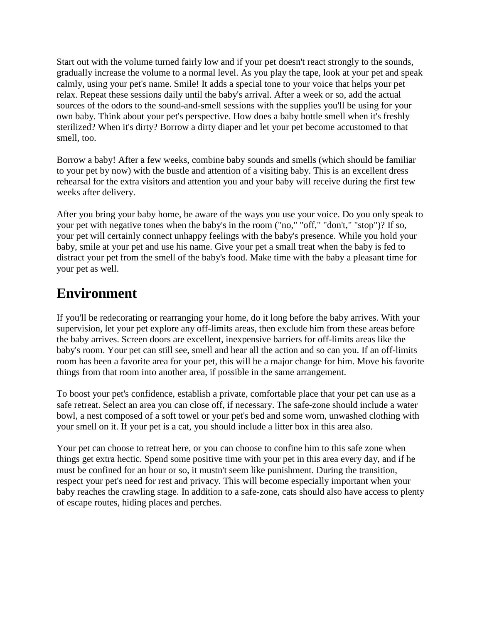Start out with the volume turned fairly low and if your pet doesn't react strongly to the sounds, gradually increase the volume to a normal level. As you play the tape, look at your pet and speak calmly, using your pet's name. Smile! It adds a special tone to your voice that helps your pet relax. Repeat these sessions daily until the baby's arrival. After a week or so, add the actual sources of the odors to the sound-and-smell sessions with the supplies you'll be using for your own baby. Think about your pet's perspective. How does a baby bottle smell when it's freshly sterilized? When it's dirty? Borrow a dirty diaper and let your pet become accustomed to that smell, too.

Borrow a baby! After a few weeks, combine baby sounds and smells (which should be familiar to your pet by now) with the bustle and attention of a visiting baby. This is an excellent dress rehearsal for the extra visitors and attention you and your baby will receive during the first few weeks after delivery.

After you bring your baby home, be aware of the ways you use your voice. Do you only speak to your pet with negative tones when the baby's in the room ("no," "off," "don't," "stop")? If so, your pet will certainly connect unhappy feelings with the baby's presence. While you hold your baby, smile at your pet and use his name. Give your pet a small treat when the baby is fed to distract your pet from the smell of the baby's food. Make time with the baby a pleasant time for your pet as well.

#### **Environment**

If you'll be redecorating or rearranging your home, do it long before the baby arrives. With your supervision, let your pet explore any off-limits areas, then exclude him from these areas before the baby arrives. Screen doors are excellent, inexpensive barriers for off-limits areas like the baby's room. Your pet can still see, smell and hear all the action and so can you. If an off-limits room has been a favorite area for your pet, this will be a major change for him. Move his favorite things from that room into another area, if possible in the same arrangement.

To boost your pet's confidence, establish a private, comfortable place that your pet can use as a safe retreat. Select an area you can close off, if necessary. The safe-zone should include a water bowl, a nest composed of a soft towel or your pet's bed and some worn, unwashed clothing with your smell on it. If your pet is a cat, you should include a litter box in this area also.

Your pet can choose to retreat here, or you can choose to confine him to this safe zone when things get extra hectic. Spend some positive time with your pet in this area every day, and if he must be confined for an hour or so, it mustn't seem like punishment. During the transition, respect your pet's need for rest and privacy. This will become especially important when your baby reaches the crawling stage. In addition to a safe-zone, cats should also have access to plenty of escape routes, hiding places and perches.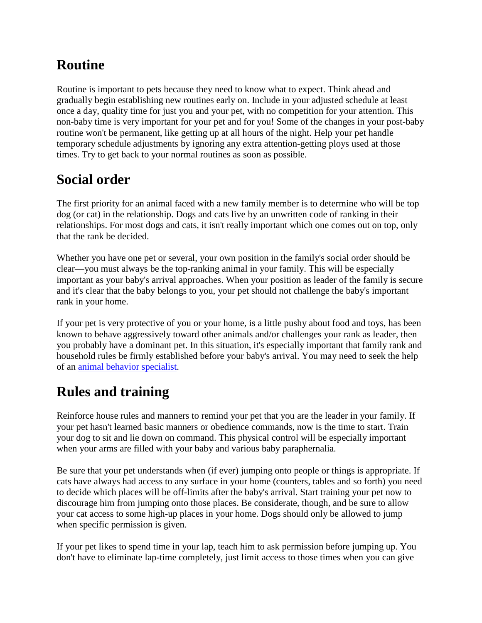# **Routine**

Routine is important to pets because they need to know what to expect. Think ahead and gradually begin establishing new routines early on. Include in your adjusted schedule at least once a day, quality time for just you and your pet, with no competition for your attention. This non-baby time is very important for your pet and for you! Some of the changes in your post-baby routine won't be permanent, like getting up at all hours of the night. Help your pet handle temporary schedule adjustments by ignoring any extra attention-getting ploys used at those times. Try to get back to your normal routines as soon as possible.

# **Social order**

The first priority for an animal faced with a new family member is to determine who will be top dog (or cat) in the relationship. Dogs and cats live by an unwritten code of ranking in their relationships. For most dogs and cats, it isn't really important which one comes out on top, only that the rank be decided.

Whether you have one pet or several, your own position in the family's social order should be clear—you must always be the top-ranking animal in your family. This will be especially important as your baby's arrival approaches. When your position as leader of the family is secure and it's clear that the baby belongs to you, your pet should not challenge the baby's important rank in your home.

If your pet is very protective of you or your home, is a little pushy about food and toys, has been known to behave aggressively toward other animals and/or challenges your rank as leader, then you probably have a dominant pet. In this situation, it's especially important that family rank and household rules be firmly established before your baby's arrival. You may need to seek the help of an [animal behavior specialist.](http://www.paws.org/select-trainer.html)

## **Rules and training**

Reinforce house rules and manners to remind your pet that you are the leader in your family. If your pet hasn't learned basic manners or obedience commands, now is the time to start. Train your dog to sit and lie down on command. This physical control will be especially important when your arms are filled with your baby and various baby paraphernalia.

Be sure that your pet understands when (if ever) jumping onto people or things is appropriate. If cats have always had access to any surface in your home (counters, tables and so forth) you need to decide which places will be off-limits after the baby's arrival. Start training your pet now to discourage him from jumping onto those places. Be considerate, though, and be sure to allow your cat access to some high-up places in your home. Dogs should only be allowed to jump when specific permission is given.

If your pet likes to spend time in your lap, teach him to ask permission before jumping up. You don't have to eliminate lap-time completely, just limit access to those times when you can give